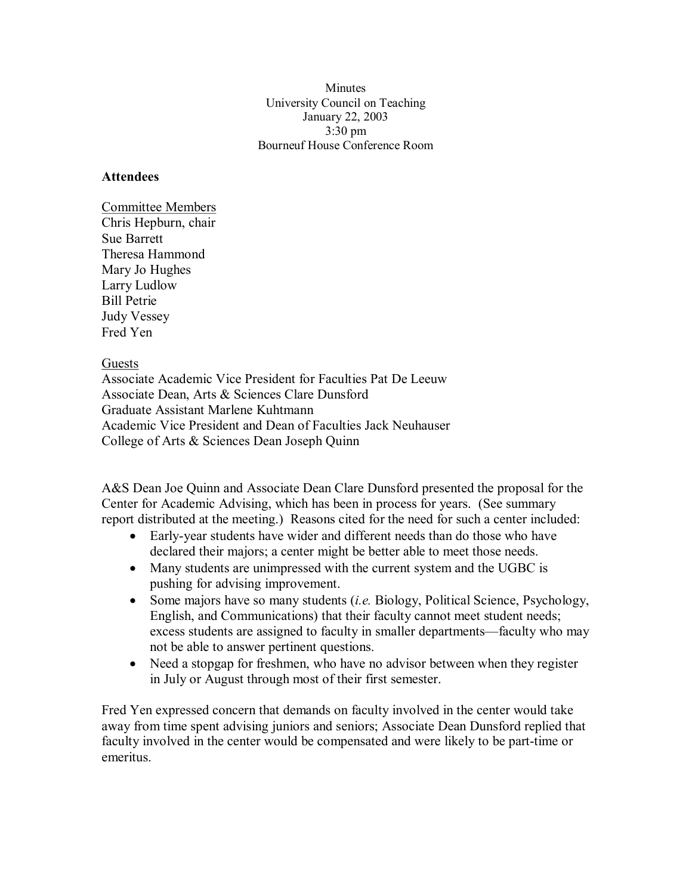Minutes University Council on Teaching January 22, 2003 3:30 pm Bourneuf House Conference Room

## **Attendees**

Committee Members Chris Hepburn, chair Sue Barrett Theresa Hammond Mary Jo Hughes Larry Ludlow Bill Petrie Judy Vessey Fred Yen

Guests

Associate Academic Vice President for Faculties Pat De Leeuw Associate Dean, Arts & Sciences Clare Dunsford Graduate Assistant Marlene Kuhtmann Academic Vice President and Dean of Faculties Jack Neuhauser College of Arts & Sciences Dean Joseph Quinn

A&S Dean Joe Quinn and Associate Dean Clare Dunsford presented the proposal for the Center for Academic Advising, which has been in process for years. (See summary report distributed at the meeting.) Reasons cited for the need for such a center included:

- Early-year students have wider and different needs than do those who have declared their majors; a center might be better able to meet those needs.
- Many students are unimpressed with the current system and the UGBC is pushing for advising improvement.
- · Some majors have so many students (*i.e.* Biology, Political Science, Psychology, English, and Communications) that their faculty cannot meet student needs; excess students are assigned to faculty in smaller departments—faculty who may not be able to answer pertinent questions.
- Need a stopgap for freshmen, who have no advisor between when they register in July or August through most of their first semester.

Fred Yen expressed concern that demands on faculty involved in the center would take away from time spent advising juniors and seniors; Associate Dean Dunsford replied that faculty involved in the center would be compensated and were likely to be part-time or emeritus.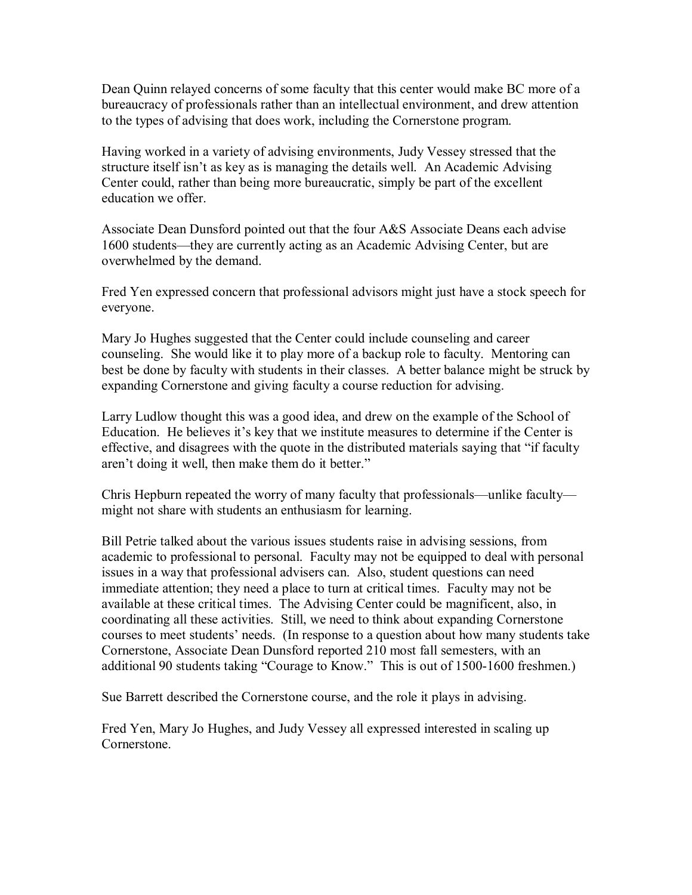Dean Quinn relayed concerns of some faculty that this center would make BC more of a bureaucracy of professionals rather than an intellectual environment, and drew attention to the types of advising that does work, including the Cornerstone program.

Having worked in a variety of advising environments, Judy Vessey stressed that the structure itself isn't as key as is managing the details well. An Academic Advising Center could, rather than being more bureaucratic, simply be part of the excellent education we offer.

Associate Dean Dunsford pointed out that the four A&S Associate Deans each advise 1600 students—they are currently acting as an Academic Advising Center, but are overwhelmed by the demand.

Fred Yen expressed concern that professional advisors might just have a stock speech for everyone.

Mary Jo Hughes suggested that the Center could include counseling and career counseling. She would like it to play more of a backup role to faculty. Mentoring can best be done by faculty with students in their classes. A better balance might be struck by expanding Cornerstone and giving faculty a course reduction for advising.

Larry Ludlow thought this was a good idea, and drew on the example of the School of Education. He believes it's key that we institute measures to determine if the Center is effective, and disagrees with the quote in the distributed materials saying that "if faculty aren't doing it well, then make them do it better."

Chris Hepburn repeated the worry of many faculty that professionals—unlike faculty might not share with students an enthusiasm for learning.

Bill Petrie talked about the various issues students raise in advising sessions, from academic to professional to personal. Faculty may not be equipped to deal with personal issues in a way that professional advisers can. Also, student questions can need immediate attention; they need a place to turn at critical times. Faculty may not be available at these critical times. The Advising Center could be magnificent, also, in coordinating all these activities. Still, we need to think about expanding Cornerstone courses to meet students' needs. (In response to a question about how many students take Cornerstone, Associate Dean Dunsford reported 210 most fall semesters, with an additional 90 students taking "Courage to Know." This is out of 1500-1600 freshmen.)

Sue Barrett described the Cornerstone course, and the role it plays in advising.

Fred Yen, Mary Jo Hughes, and Judy Vessey all expressed interested in scaling up Cornerstone.